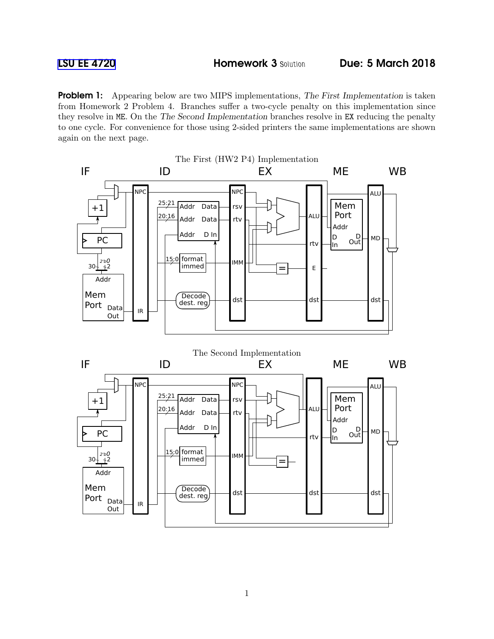**Problem 1:** Appearing below are two MIPS implementations, The First Implementation is taken from Homework 2 Problem 4. Branches suffer a two-cycle penalty on this implementation since they resolve in ME. On the The Second Implementation branches resolve in EX reducing the penalty to one cycle. For convenience for those using 2-sided printers the same implementations are shown again on the next page.

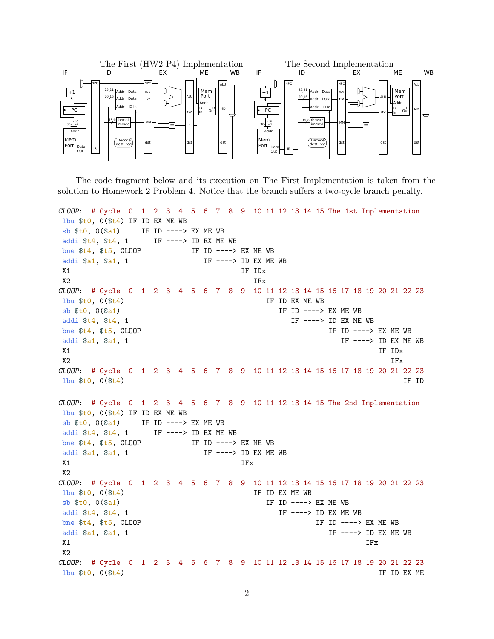

The code fragment below and its execution on The First Implementation is taken from the solution to Homework 2 Problem 4. Notice that the branch suffers a two-cycle branch penalty.

CLOOP: # Cycle 0 1 2 3 4 5 6 7 8 9 10 11 12 13 14 15 The 1st Implementation lbu \$t0, 0(\$t4) IF ID EX ME WB sb  $$t0, 0 ($a1)$  IF ID ----> EX ME WB addi  $t_4$ ,  $t_4$ , 1 IF ----> ID EX ME WB bne \$t4, \$t5, CLOOP IF ID ----> EX ME WB addi \$a1, \$a1, 1 IF ----> ID EX ME WB X1 IF IDx  $X2$  IFx CLOOP: # Cycle 0 1 2 3 4 5 6 7 8 9 10 11 12 13 14 15 16 17 18 19 20 21 22 23  $1bu$  \$t0,  $0$  (\$t4) IF ID EX ME WB  $\mathbb{S}^{\mathsf{b}}$   $\mathsf{t}$   $\mathsf{t}$ ,  $\mathsf{0}$   $\mathsf{t}$   $\mathsf{t}$   $\mathsf{t}$   $\mathsf{t}$   $\mathsf{t}$   $\mathsf{t}$   $\mathsf{t}$   $\mathsf{t}$   $\mathsf{t}$   $\mathsf{t}$   $\mathsf{t}$   $\mathsf{t}$   $\mathsf{t}$   $\mathsf{t}$   $\mathsf{t}$   $\mathsf{t}$   $\mathsf{t}$   $\mathsf{t}$   $\mathsf{t}$   $\mathsf{t$ addi  $$t4$ ,  $$t4$ , 1  $\qquad \qquad \text{IF} \text{---} > \text{ID EX ME WB}$ bne  $t_4$ ,  $t_5$ , CLOOP IF ID ----> EX ME WB addi \$a1, \$a1, 1 IF  $--->$  ID EX ME WB X1 September 2014 and the separate service of the service of the service of the service of the service of the service of the service of the service of the service of the service of the service of the service of the service X2 IFx CLOOP: # Cycle 0 1 2 3 4 5 6 7 8 9 10 11 12 13 14 15 16 17 18 19 20 21 22 23  $1$ bu  $$t0$ ,  $0 ($t_4$)$  IF ID CLOOP: # Cycle 0 1 2 3 4 5 6 7 8 9 10 11 12 13 14 15 The 2nd Implementation lbu \$t0, 0(\$t4) IF ID EX ME WB sb  $$t0, 0 ($a1)$  IF ID ----> EX ME WB addi  $t_4$ ,  $t_4$ , 1 IF ----> ID EX ME WB bne \$t4, \$t5, CLOOP IF ID ----> EX ME WB addi \$a1, \$a1, 1 IF ----> ID EX ME WB  $X1$  IFx X2 CLOOP: # Cycle 0 1 2 3 4 5 6 7 8 9 10 11 12 13 14 15 16 17 18 19 20 21 22 23  $1bu$  \$t0,  $0$ (\$t4) IF ID EX ME WB sb  $$t0, 0 ($a1)$  IF ID ----> EX ME WB addi \$t4, \$t4, 1 IF ----> ID EX ME WB bne  $t_4$ ,  $t_5$ , CLOOP IF ID ----> EX ME WB addi \$a1, \$a1, 1 IF ---> ID EX ME WB  $X1$  IFx  $X<sub>2</sub>$ CLOOP: # Cycle 0 1 2 3 4 5 6 7 8 9 10 11 12 13 14 15 16 17 18 19 20 21 22 23  $1$ bu \$t0, 0(\$t4) IF ID EX ME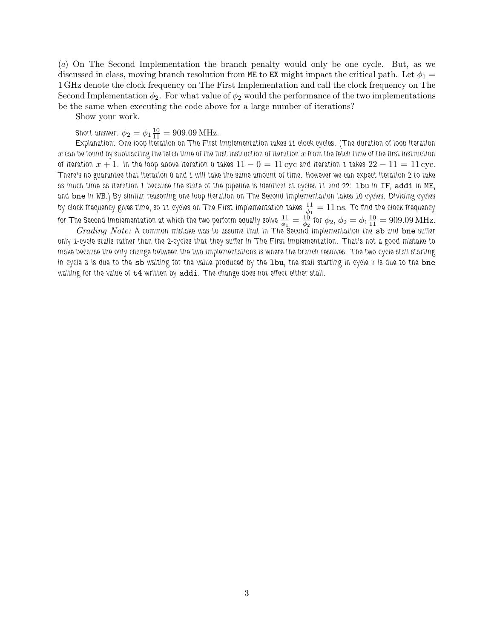(a) On The Second Implementation the branch penalty would only be one cycle. But, as we discussed in class, moving branch resolution from ME to EX might impact the critical path. Let  $\phi_1$  = 1 GHz denote the clock frequency on The First Implementation and call the clock frequency on The Second Implementation  $\phi_2$ . For what value of  $\phi_2$  would the performance of the two implementations be the same when executing the code above for a large number of iterations?

Show your work.

Short answer:  $\phi_2 = \phi_1 \frac{10}{11} = 909.09 \text{ MHz}.$ 

Explanation: One loop iteration on The First Implementation takes 11 clock cycles. (The duration of loop iteration  $x$  can be found by subtracting the fetch time of the first instruction of iteration  $x$  from the fetch time of the first instruction of iteration  $x + 1$ . In the loop above iteration 0 takes  $11 - 0 = 11$  cyc and iteration 1 takes  $22 - 11 = 11$  cyc. There's no guarantee that iteration 0 and 1 will take the same amount of time. However we can expect iteration 2 to take as much time as iteration 1 because the state of the pipeline is identical at cycles 11 and 22: 1bu in IF, addi in ME, and bne in WB.) By similar reasoning one loop iteration on The Second Implementation takes 10 cycles. Dividing cycles by clock frequency gives time, so 11 cycles on The First Implementation takes  $\frac{11}{\phi_1}=11\,\rm ns$ . To find the clock frequency for The Second Implementation at which the two perform equally solve  $\frac{11}{\phi_1}=\frac{10}{\phi_2}$  $\frac{10}{\phi_2}$  for  $\phi_2$ ,  $\phi_2 = \phi_1 \frac{10}{11} = 909.09 \text{ MHz}.$ 

 $Grading\ Note:$  A common mistake was to assume that in The Second Implementation the  ${\tt sb}$  and  ${\tt bne}$  suffer only 1-cycle stalls rather than the 2-cycles that they suffer in The First Implementation. That's not a good mistake to make because the only change between the two implementations is where the branch resolves. The two-cycle stall starting in cycle 3 is due to the sb waiting for the value produced by the 1bu, the stall starting in cycle 7 is due to the bne waiting for the value of t4 written by addi. The change does not effect either stall.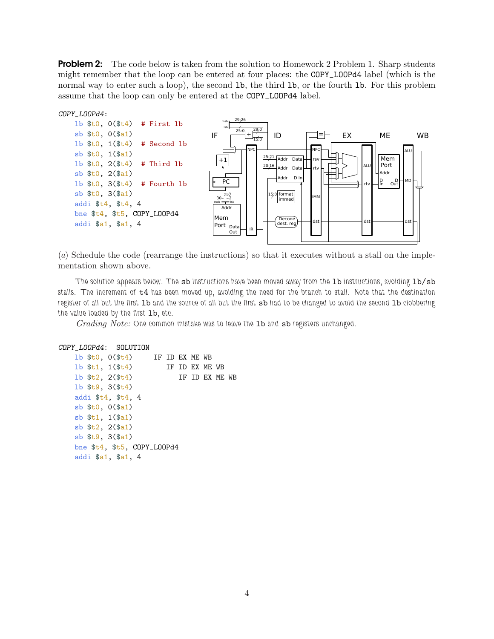**Problem 2:** The code below is taken from the solution to Homework 2 Problem 1. Sharp students might remember that the loop can be entered at four places: the COPY\_LOOPd4 label (which is the normal way to enter such a loop), the second 1b, the third 1b, or the fourth 1b. For this problem assume that the loop can only be entered at the COPY\_LOOPd4 label.



(a) Schedule the code (rearrange the instructions) so that it executes without a stall on the implementation shown above.

The solution appears below. The sb instructions have been moved away from the 1b instructions, avoiding 1b/sb stalls. The increment of t4 has been moved up, avoiding the need for the branch to stall. Note that the destination register of all but the first lb and the source of all but the first sb had to be changed to avoid the second lb clobbering the value loaded by the first lb, etc.

Grading Note: One common mistake was to leave the 1b and sb registers unchanged.

```
COPY_LOOPd4: SOLUTION
   lb $t0, 0($t4) IF ID EX ME WB
   1b t_1, 1(\frac{t_1}{2}) IF ID EX ME WB
   1b t_2, 2(\text{ft4}) IF ID EX ME WB
   lb $t9, 3($t4)
   addi $t4, $t4, 4
   sb $t0, 0($a1)
   sb $t1, 1($a1)
   sb $t2, 2($a1)
   sb $t9, 3($a1)
   bne $t4, $t5, COPY_LOOPd4
   addi $a1, $a1, 4
```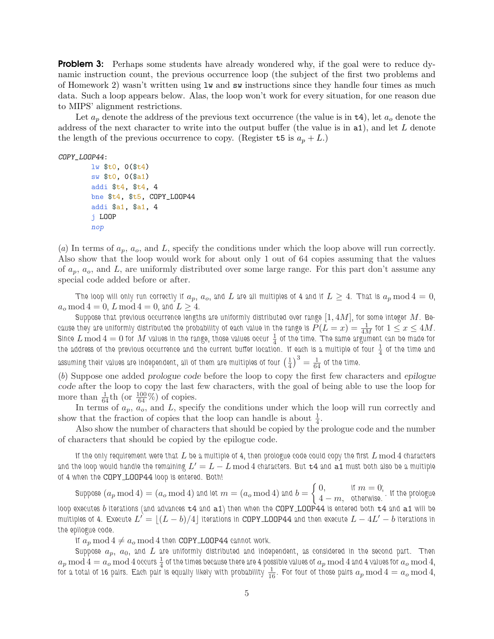**Problem 3:** Perhaps some students have already wondered why, if the goal were to reduce dynamic instruction count, the previous occurrence loop (the subject of the first two problems and of Homework 2) wasn't written using lw and sw instructions since they handle four times as much data. Such a loop appears below. Alas, the loop won't work for every situation, for one reason due to MIPS' alignment restrictions.

Let  $a_p$  denote the address of the previous text occurrence (the value is in  $\tau$ 4), let  $a_o$  denote the address of the next character to write into the output buffer (the value is in  $a_1$ ), and let L denote the length of the previous occurrence to copy. (Register  $t5$  is  $a_p + L$ .)

## COPY\_LOOP44:

```
lw $t0, 0($t4)
sw $t0, 0($a1)
addi $t4, $t4, 4
bne $t4, $t5, COPY_LOOP44
addi $a1, $a1, 4
j LOOP
nop
```
(a) In terms of  $a_p$ ,  $a_o$ , and L, specify the conditions under which the loop above will run correctly. Also show that the loop would work for about only 1 out of 64 copies assuming that the values of  $a_p$ ,  $a_o$ , and L, are uniformly distributed over some large range. For this part don't assume any special code added before or after.

The loop will only run correctly if  $a_p$ ,  $a_o$ , and  $L$  are all multiples of 4 and if  $L \geq 4$ . That is  $a_p \mod 4 = 0$ ,  $a_o \mod 4 = 0$ ,  $L \mod 4 = 0$ , and  $L \geq 4$ .

Suppose that previous occurrence lengths are uniformly distributed over range  $[1, 4M]$ , for some integer  $M$ . Because they are uniformly distributed the probability of each value in the range is  $P(L=x)=\frac{1}{4M}$  for  $1\leq x\leq 4M$ . Since  $L \bmod 4 = 0$  for  $M$  values in the range, those values occur  $\frac{1}{4}$  of the time. The same argument can be made for the address of the previous occurrence and the current buffer location. If each is a multiple of four  $\frac{1}{4}$  of the time and assuming their values are independent, all of them are multiples of four  $(\frac{1}{4}$  $\left(\frac{1}{4}\right)^3 = \frac{1}{64}$  of the time.

(b) Suppose one added prologue code before the loop to copy the first few characters and epilogue code after the loop to copy the last few characters, with the goal of being able to use the loop for more than  $\frac{1}{64}$ th (or  $\frac{100}{64}$ %) of copies.

In terms of  $a_p$ ,  $a_o$ , and L, specify the conditions under which the loop will run correctly and show that the fraction of copies that the loop can handle is about  $\frac{1}{4}$ .

Also show the number of characters that should be copied by the prologue code and the number of characters that should be copied by the epilogue code.

If the only requirement were that  $L$  be a multiple of 4, then prologue code could copy the first  $L \bmod 4$  characters and the loop would handle the remaining  $L^\prime=L-L\,{\rm mod}\,4$  characters. But  ${\tt t4}$  and  $\overline{{\tt a1}}$  must both also be a multiple of 4 when the COPY LOOP44 loop is entered. Both!

Suppose  $(a_p\,\mathrm{mod}\,4)=(a_o\,\mathrm{mod}\,4)$  and let  $m=(a_o\,\mathrm{mod}\,4)$  and  $b=\left\{\begin{matrix} 0,& \text{if}\,\,m=0; \ 4-m,& \text{otherwise.} \end{matrix}\right.$  If the prologue loop executes b iterations (and advances  $t4$  and  $a1$ ) then when the COPY LOOP44 is entered both  $t4$  and  $a1$  will be multiples of 4. Execute  $L^{\prime}=\lfloor (L-b)/4\rfloor$  iterations in <code>COPY\_LOOP44</code> and then execute  $L-4L^{\prime}-b$  iterations in the epilogue code.

If  $a_p \mod 4 \neq a_o \mod 4$  then COPY LOOP44 cannot work.

Suppose  $a_p$ ,  $a_0$ , and  $L$  are uniformly distributed and independent, as considered in the second part. Then  $a_p\,{\rm mod}\,4=a_o\,{\rm mod}\,4$  occurs  $\frac14$  of the times because there are 4 possible values of  $a_p\,{\rm mod}\,4$  and 4 values for  $a_o\,{\rm mod}\,4,$ for a total of 16 pairs. Each pair is equally likely with probability  $\frac{1}{16}$ . For four of those pairs  $a_p\,\mathrm{mod}\,4=a_o\,\mathrm{mod}\,4,$